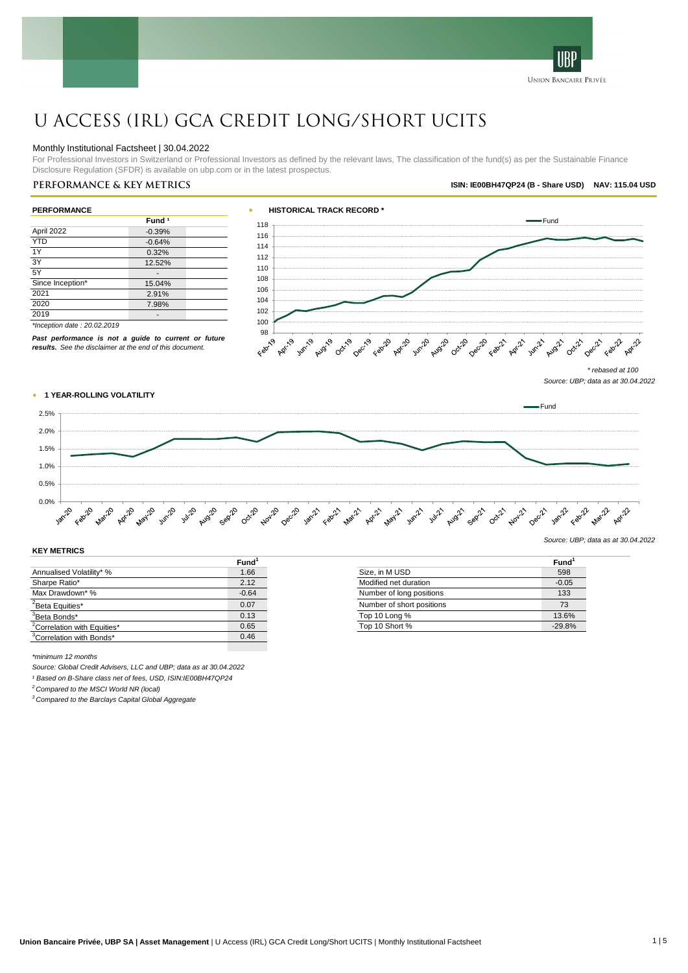

# U Access (IRL) GCA Credit Long/Short UCITS

#### Monthly Institutional Factsheet | 30.04.2022

For Professional Investors in Switzerland or Professional Investors as defined by the relevant laws, The classification of the fund(s) as per the Sustainable Finance Disclosure Regulation (SFDR) is available on ubp.com or in the latest prospectus.

### **Performance & key metrics ISIN: IE00BH47QP24 (B - Share USD) NAV: 115.04 USD**

| <b>PERFORMANCE</b>          |                   |  |  |  |
|-----------------------------|-------------------|--|--|--|
|                             | Fund <sup>1</sup> |  |  |  |
| April 2022                  | $-0.39%$          |  |  |  |
| <b>YTD</b>                  | $-0.64%$          |  |  |  |
| 1Y                          | 0.32%             |  |  |  |
| 3Y                          | 12.52%            |  |  |  |
| 5Y                          |                   |  |  |  |
| Since Inception*            | 15.04%            |  |  |  |
| 2021                        | 2.91%             |  |  |  |
| 2020                        | 7.98%             |  |  |  |
| 2019                        |                   |  |  |  |
| *Inception date: 20.02.2019 |                   |  |  |  |

*Past performance is not a guide to current or future results. See the disclaimer at the end of this document.*



*\* rebased at 100 Source: UBP; data as at 30.04.2022*

*Source: UBP; data as at 30.04.2022*

#### w **1 YEAR-ROLLING VOLATILITY**

Fund 2.5% 2.0% 1.5% 1.0% 0.5%  $0.0\%$   $\frac{1}{2}$ **Mar20** Jun-20 Apr-12 October 2012 which can't want want want with with want and october with our want want want Apr-20 Apr-20 1420 ug20 cep20

#### **KEY METRICS**

|                                         | Fund <sup>1</sup> |                           | Fund <sup>1</sup> |
|-----------------------------------------|-------------------|---------------------------|-------------------|
| Annualised Volatility* %                | 1.66              | Size, in M USD            | 598               |
| Sharpe Ratio*                           | 2.12              | Modified net duration     | $-0.05$           |
| Max Drawdown* %                         | $-0.64$           | Number of long positions  | 133               |
| <sup>2</sup> Beta Equities*             | 0.07              | Number of short positions | 73                |
| <sup>3</sup> Beta Bonds*                | 0.13              | Top 10 Long %             | 13.6%             |
| <sup>2</sup> Correlation with Equities* | 0.65              | Top 10 Short %            | $-29.8%$          |
| <sup>3</sup> Correlation with Bonds*    | 0.46              |                           |                   |

**Fund<sup>1</sup>** Annualised Volation Size, in M USD 598 Modified net duration  $-0.05$ Number of long positions 133 Pumber of short positions 73<br>Top 10 Long % 13.6%

*\*minimum 12 months*

*Source: Global Credit Advisers, LLC and UBP; data as at 30.04.2022*

*¹ Based on B-Share class net of fees, USD, ISIN:IE00BH47QP24*

*<sup>2</sup> Compared to the MSCI World NR (local)*

*<sup>3</sup> Compared to the Barclays Capital Global Aggregate*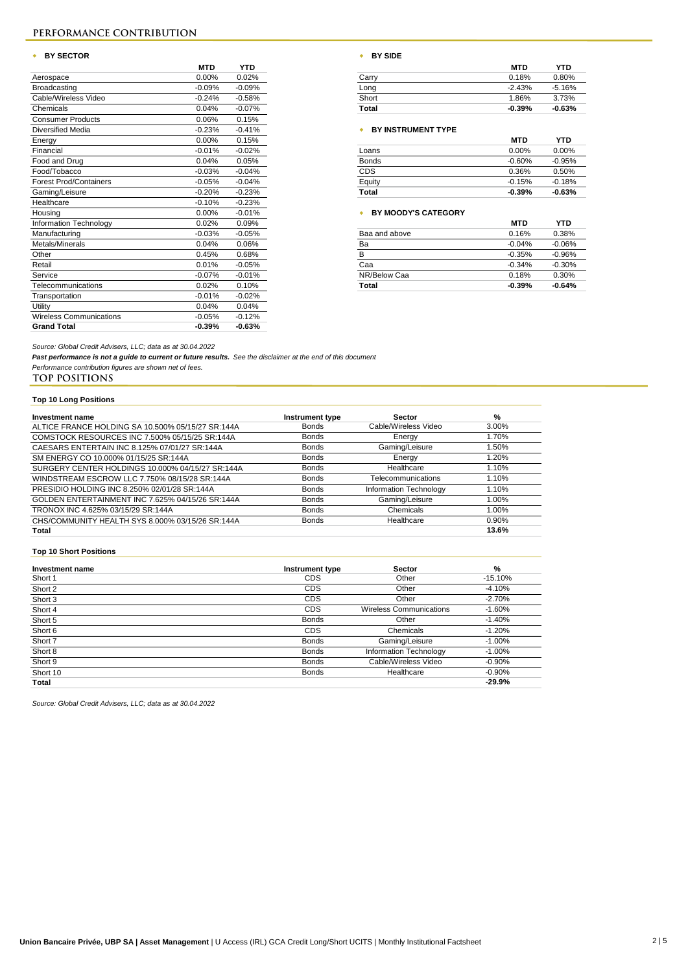### **PERFORMANCE CONTRIBUTION**

#### **\*** BY SECTOR

|                                | <b>MTD</b> | YTD      |                            | <b>MTD</b> | YTD.       |
|--------------------------------|------------|----------|----------------------------|------------|------------|
| Aerospace                      | $0.00\%$   | 0.02%    | Carry                      | 0.18%      | 0.80%      |
| <b>Broadcasting</b>            | $-0.09%$   | $-0.09%$ | Long                       | $-2.43%$   | $-5.16%$   |
| Cable/Wireless Video           | $-0.24%$   | $-0.58%$ | Short                      | 1.86%      | 3.73%      |
| Chemicals                      | 0.04%      | $-0.07%$ | Total                      | $-0.39%$   | $-0.63%$   |
| <b>Consumer Products</b>       | 0.06%      | 0.15%    |                            |            |            |
| <b>Diversified Media</b>       | $-0.23%$   | $-0.41%$ | <b>BY INSTRUMENT TYPE</b>  |            |            |
| Energy                         | 0.00%      | 0.15%    |                            | <b>MTD</b> | <b>YTD</b> |
| Financial                      | $-0.01%$   | $-0.02%$ | Loans                      | 0.00%      | 0.00%      |
| Food and Drug                  | 0.04%      | 0.05%    | <b>Bonds</b>               | $-0.60%$   | $-0.95%$   |
| Food/Tobacco                   | $-0.03%$   | $-0.04%$ | CDS                        | 0.36%      | 0.50%      |
| <b>Forest Prod/Containers</b>  | $-0.05%$   | $-0.04%$ | Equity                     | $-0.15%$   | $-0.18%$   |
| Gaming/Leisure                 | $-0.20%$   | $-0.23%$ | Total                      | $-0.39%$   | $-0.63%$   |
| Healthcare                     | $-0.10%$   | $-0.23%$ |                            |            |            |
| Housing                        | 0.00%      | $-0.01%$ | <b>BY MOODY'S CATEGORY</b> |            |            |
| Information Technology         | 0.02%      | 0.09%    |                            | <b>MTD</b> | <b>YTD</b> |
| Manufacturing                  | $-0.03%$   | $-0.05%$ | Baa and above              | 0.16%      | 0.38%      |
| Metals/Minerals                | 0.04%      | 0.06%    | Ba                         | $-0.04%$   | $-0.06%$   |
| Other                          | 0.45%      | 0.68%    | В                          | $-0.35%$   | $-0.96%$   |
| Retail                         | 0.01%      | $-0.05%$ | Caa                        | $-0.34%$   | $-0.30%$   |
| Service                        | $-0.07%$   | $-0.01%$ | NR/Below Caa               | 0.18%      | 0.30%      |
| Telecommunications             | 0.02%      | 0.10%    | Total                      | $-0.39%$   | $-0.64%$   |
| Transportation                 | $-0.01%$   | $-0.02%$ |                            |            |            |
| Utility                        | 0.04%      | 0.04%    |                            |            |            |
| <b>Wireless Communications</b> | $-0.05%$   | $-0.12%$ |                            |            |            |
| <b>Grand Total</b>             | $-0.39%$   | $-0.63%$ |                            |            |            |

|  | BY SIDE |  |  |
|--|---------|--|--|
|--|---------|--|--|

| MTD      | YTD.     |
|----------|----------|
| 0.00%    | 0.02%    |
| 0.09%    | $-0.09%$ |
| 0.24%    | $-0.58%$ |
| $0.04\%$ | $-0.07%$ |
|          |          |

#### Diversified Media -0.23% -0.41% w **BY INSTRUMENT TYPE**

|              | טוויו     | .        |
|--------------|-----------|----------|
| Loans        | $0.00\%$  | $0.00\%$ |
| <b>Bonds</b> | $-0.60\%$ | $-0.95%$ |
| <b>CDS</b>   | 0.36%     | 0.50%    |
| Equity       | $-0.15%$  | $-0.18%$ |
| Total        | $-0.39%$  | $-0.63%$ |

### Housing 0.00% -0.01% w **BY MOODY'S CATEGORY**

|               | MIU      | 1 I LJ   |
|---------------|----------|----------|
| Baa and above | 0.16%    | 0.38%    |
| Ba            | $-0.04%$ | $-0.06%$ |
| B             | $-0.35%$ | $-0.96%$ |
| Caa           | $-0.34%$ | $-0.30%$ |
| NR/Below Caa  | 0.18%    | 0.30%    |
| Total         | $-0.39%$ | $-0.64%$ |
|               |          |          |

*Source: Global Credit Advisers, LLC; data as at 30.04.2022*

*Past performance is not a guide to current or future results. See the disclaimer at the end of this document*

*Performance contribution figures are shown net of fees.*

### **TOP POSITIONS**

### **Top 10 Long Positions**

| Investment name                                   | Instrument type | <b>Sector</b>          | %     |
|---------------------------------------------------|-----------------|------------------------|-------|
| ALTICE FRANCE HOLDING SA 10.500% 05/15/27 SR:144A | <b>Bonds</b>    | Cable/Wireless Video   | 3.00% |
| COMSTOCK RESOURCES INC 7.500% 05/15/25 SR:144A    | <b>Bonds</b>    | Energy                 | 1.70% |
| CAESARS ENTERTAIN INC 8.125% 07/01/27 SR:144A     | <b>Bonds</b>    | Gaming/Leisure         | 1.50% |
| SM ENERGY CO 10.000% 01/15/25 SR:144A             | <b>Bonds</b>    | Energy                 | 1.20% |
| SURGERY CENTER HOLDINGS 10.000% 04/15/27 SR:144A  | <b>Bonds</b>    | Healthcare             | 1.10% |
| WINDSTREAM ESCROW LLC 7.750% 08/15/28 SR:144A     | <b>Bonds</b>    | Telecommunications     | 1.10% |
| PRESIDIO HOLDING INC 8.250% 02/01/28 SR:144A      | <b>Bonds</b>    | Information Technology | 1.10% |
| GOLDEN ENTERTAINMENT INC 7.625% 04/15/26 SR:144A  | <b>Bonds</b>    | Gaming/Leisure         | 1.00% |
| TRONOX INC 4.625% 03/15/29 SR:144A                | <b>Bonds</b>    | Chemicals              | 1.00% |
| CHS/COMMUNITY HEALTH SYS 8.000% 03/15/26 SR:144A  | <b>Bonds</b>    | Healthcare             | 0.90% |
| Total                                             |                 |                        | 13.6% |

#### **Top 10 Short Positions**

| Investment name | Instrument type | <b>Sector</b>                  | %         |
|-----------------|-----------------|--------------------------------|-----------|
| Short 1         | <b>CDS</b>      | Other                          | $-15.10%$ |
| Short 2         | <b>CDS</b>      | Other                          | $-4.10%$  |
| Short 3         | <b>CDS</b>      | Other                          | $-2.70%$  |
| Short 4         | <b>CDS</b>      | <b>Wireless Communications</b> | $-1.60%$  |
| Short 5         | <b>Bonds</b>    | Other                          | $-1.40%$  |
| Short 6         | <b>CDS</b>      | Chemicals                      | $-1.20%$  |
| Short 7         | <b>Bonds</b>    | Gaming/Leisure                 | $-1.00\%$ |
| Short 8         | <b>Bonds</b>    | Information Technology         | $-1.00\%$ |
| Short 9         | <b>Bonds</b>    | Cable/Wireless Video           | $-0.90%$  |
| Short 10        | <b>Bonds</b>    | Healthcare                     | $-0.90\%$ |
| Total           |                 |                                | $-29.9%$  |

*Source: Global Credit Advisers, LLC; data as at 30.04.2022*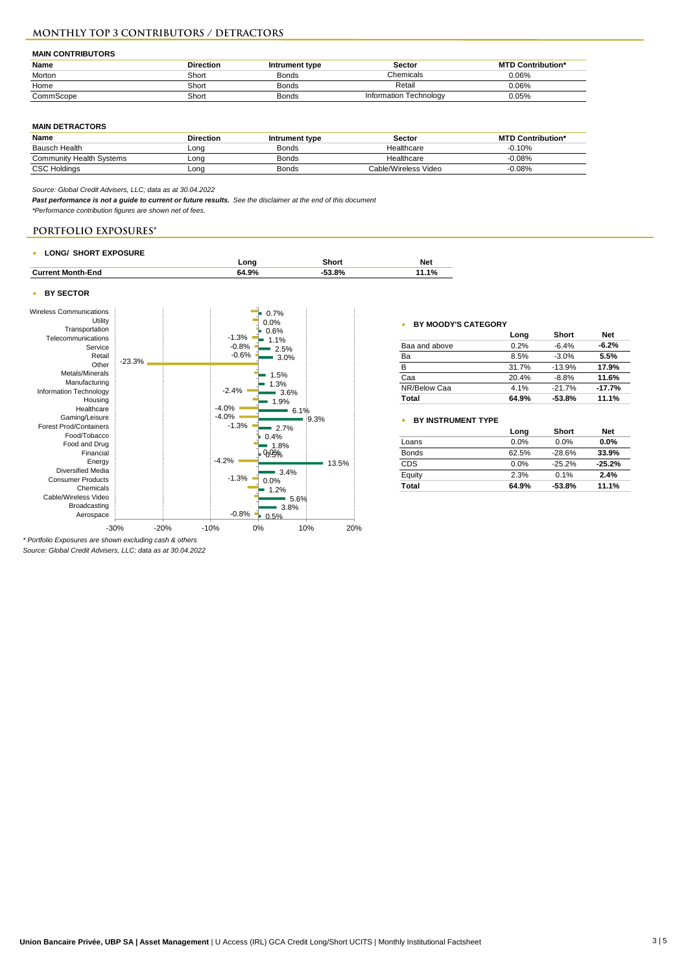### **Monthly TOP 3 CONTRIBUTORS / DETRACTORS**

#### **MAIN CONTRIBUTORS**

| Name      | <b>Direction</b> | Intrument type | Sector                        | <b>MTD Contribution*</b> |
|-----------|------------------|----------------|-------------------------------|--------------------------|
| Morton    | Short            | <b>Bonds</b>   | Chemicals                     | 0.06%                    |
| Home      | Short            | Bonds          | Retail                        | $0.06\%$                 |
| CommScope | Short            | <b>Bonds</b>   | <b>Information Technology</b> | 0.05%                    |

#### **MAIN DETRACTORS**

| Name                            | <b>Direction</b> | Intrument type | Sector               | <b>MTD Contribution*</b> |
|---------------------------------|------------------|----------------|----------------------|--------------------------|
| Bausch Health                   | Long             | Bonds          | Healthcare           | $-0.10%$                 |
| <b>Community Health Systems</b> | ∟ona             | Bonds          | Healthcare           | $-0.08%$                 |
| <b>CSC Holdings</b>             | ∟onq             | Bonds          | Cable/Wireless Video | $-0.08%$                 |

*Source: Global Credit Advisers, LLC; data as at 30.04.2022*

*Past performance is not a guide to current or future results. See the disclaimer at the end of this document*

*\*Performance contribution figures are shown net of fees.*

### **PORTFOLIO EXPOSURES\***

#### w **LONG/ SHORT EXPOSURE**

| ______<br>____           | ona        | shori | Net        |
|--------------------------|------------|-------|------------|
| <b>Current Month-End</b> | 4.9%<br>ó۵ | 53.8% | 40.<br>170 |

#### **+ BY SECTOR**



*\* Portfolio Exposures are shown excluding cash & others Source: Global Credit Advisers, LLC; data as at 30.04.2022*

#### w **BY MOODY'S CATEGORY**

|               | Long  | Short    | <b>Net</b> |
|---------------|-------|----------|------------|
| Baa and above | 0.2%  | $-6.4%$  | $-6.2%$    |
| Ba            | 8.5%  | $-3.0%$  | 5.5%       |
| в             | 31.7% | $-13.9%$ | 17.9%      |
| Caa           | 20.4% | $-8.8%$  | 11.6%      |
| NR/Below Caa  | 4.1%  | $-21.7%$ | $-17.7%$   |
| Total         | 64.9% | $-53.8%$ | 11.1%      |

### w **BY INSTRUMENT TYPE**

| Long  | Short    | <b>Net</b> |
|-------|----------|------------|
| 0.0%  | 0.0%     | $0.0\%$    |
| 62.5% | $-28.6%$ | 33.9%      |
| 0.0%  | $-25.2%$ | $-25.2%$   |
| 2.3%  | 0.1%     | 2.4%       |
| 64.9% | $-53.8%$ | 11.1%      |
|       |          |            |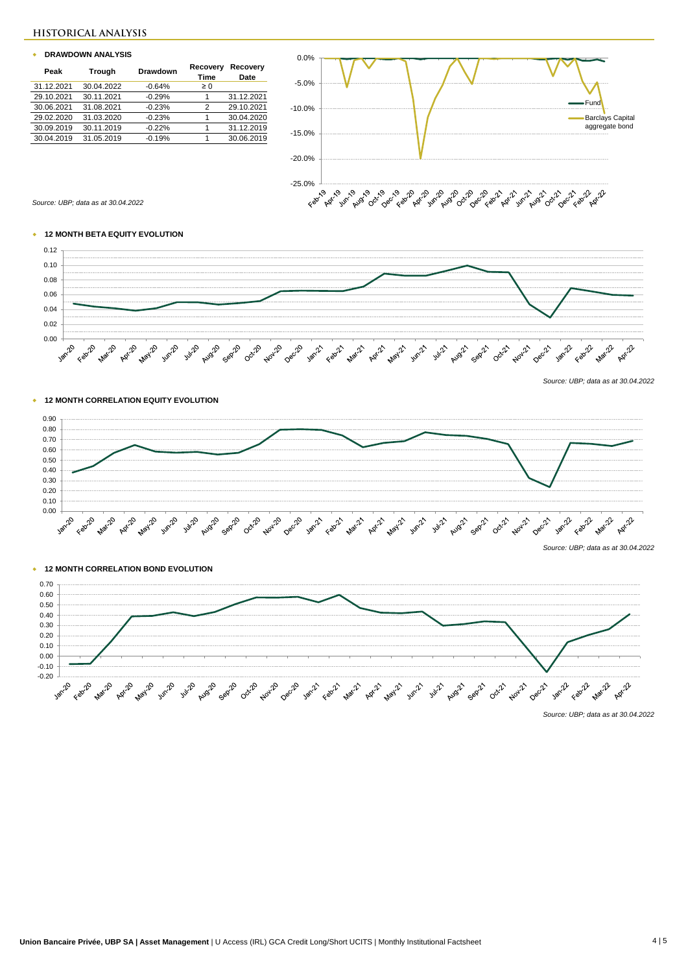### **HISTORICAL ANALYSIS**

#### w **DRAWDOWN ANALYSIS**

| Peak       | Trough     | Drawdown | Recovery<br>Time | Recovery<br>Date |
|------------|------------|----------|------------------|------------------|
| 31.12.2021 | 30.04.2022 | $-0.64%$ | $\geq 0$         |                  |
| 29.10.2021 | 30.11.2021 | $-0.29%$ | 1                | 31.12.2021       |
| 30.06.2021 | 31.08.2021 | $-0.23%$ | 2                | 29.10.2021       |
| 29.02.2020 | 31.03.2020 | $-0.23%$ | 1                | 30.04.2020       |
| 30.09.2019 | 30.11.2019 | $-0.22%$ | 1                | 31.12.2019       |
| 30.04.2019 | 31.05.2019 | $-0.19%$ |                  | 30.06.2019       |



*Source: UBP; data as at 30.04.2022*

### w **12 MONTH BETA EQUITY EVOLUTION**



*Source: UBP; data as at 30.04.2022*





## w **12 MONTH CORRELATION BOND EVOLUTION**

w **12 MONTH CORRELATION EQUITY EVOLUTION**